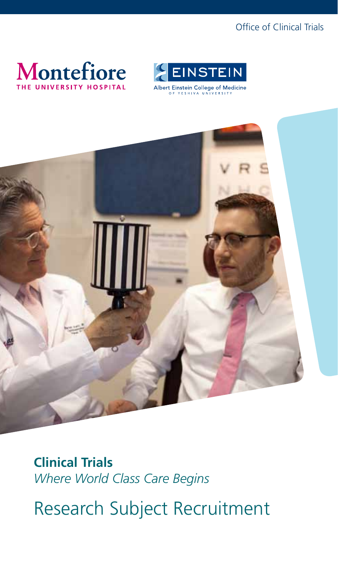## Office of Clinical Trials





Albert Einstein College of Medicine



**Clinical Trials**  *Where World Class Care Begins*

Research Subject Recruitment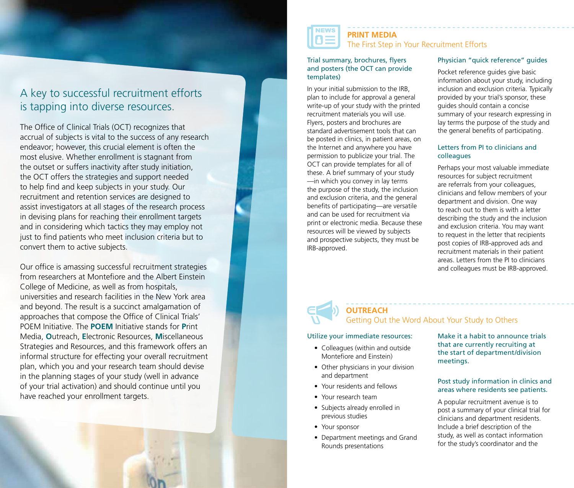# A key to successful recruitment efforts is tapping into diverse resources.

The Office of Clinical Trials (OCT) recognizes that accrual of subjects is vital to the success of any research endeavor; however, this crucial element is often the most elusive. Whether enrollment is stagnant from the outset or suffers inactivity after study initiation, the OCT offers the strategies and support needed to help find and keep subjects in your study. Our recruitment and retention services are designed to assist investigators at all stages of the research process in devising plans for reaching their enrollment targets and in considering which tactics they may employ not just to find patients who meet inclusion criteria but to convert them to active subjects.

Our office is amassing successful recruitment strategies from researchers at Montefiore and the Albert Einstein College of Medicine, as well as from hospitals, universities and research facilities in the New York area and beyond. The result is a succinct amalgamation of approaches that compose the Office of Clinical Trials' POEM Initiative. The **POEM** Initiative stands for **P**rint Media, **O**utreach, **E**lectronic Resources, **M**iscellaneous Strategies and Resources, and this framework offers an informal structure for effecting your overall recruitment plan, which you and your research team should devise in the planning stages of your study (well in advance of your trial activation) and should continue until you have reached your enrollment targets.



## **PRINT MEDIA**  The First Step in Your Recruitment Efforts

#### Trial summary, brochures, flyers and posters (the OCT can provide templates)

In your initial submission to the IRB, plan to include for approval a general write-up of your study with the printed recruitment materials you will use. Flyers, posters and brochures are standard advertisement tools that can be posted in clinics, in patient areas, on the Internet and anywhere you have permission to publicize your trial. The OCT can provide templates for all of these. A brief summary of your study —in which you convey in lay terms the purpose of the study, the inclusion and exclusion criteria, and the general benefits of participating—are versatile and can be used for recruitment via print or electronic media. Because these resources will be viewed by subjects and prospective subjects, they must be IRB-approved.

## Physician "quick reference" guides

Pocket reference guides give basic information about your study, including inclusion and exclusion criteria. Typically provided by your trial's sponsor, these guides should contain a concise summary of your research expressing in lay terms the purpose of the study and the general benefits of participating.

### Letters from PI to clinicians and colleagues

Perhaps your most valuable immediate resources for subject recruitment are referrals from your colleagues, clinicians and fellow members of your department and division. One way to reach out to them is with a letter describing the study and the inclusion and exclusion criteria. You may want to request in the letter that recipients post copies of IRB-approved ads and recruitment materials in their patient areas. Letters from the PI to clinicians and colleagues must be IRB-approved.

## **OUTREACH** Getting Out the Word About Your Study to Others

#### Utilize your immediate resources:

- Colleagues (within and outside Montefiore and Einstein)
- Other physicians in your division and department
- Your residents and fellows
- • Your research team
- Subjects already enrolled in previous studies
- Your sponsor
- Department meetings and Grand Rounds presentations

Make it a habit to announce trials that are currently recruiting at the start of department/division meetings.

#### Post study information in clinics and areas where residents see patients.

A popular recruitment avenue is to post a summary of your clinical trial for clinicians and department residents. Include a brief description of the study, as well as contact information for the study's coordinator and the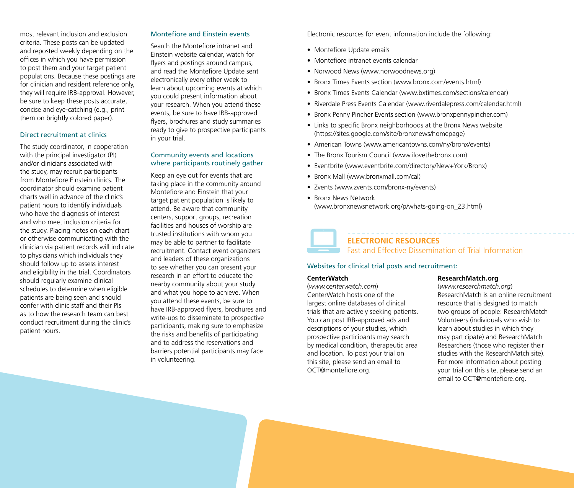most relevant inclusion and exclusion criteria. These posts can be updated and reposted weekly depending on the offices in which you have permission to post them and your target patient populations. Because these postings are for clinician and resident reference only, they will require IRB-approval. However, be sure to keep these posts accurate, concise and eye-catching (e.g., print them on brightly colored paper).

#### Direct recruitment at clinics

The study coordinator, in cooperation with the principal investigator (PI) and/or clinicians associated with the study, may recruit participants from Montefiore Einstein clinics. The coordinator should examine patient charts well in advance of the clinic's patient hours to identify individuals who have the diagnosis of interest and who meet inclusion criteria for the study. Placing notes on each chart or otherwise communicating with the clinician via patient records will indicate to physicians which individuals they should follow up to assess interest and eligibility in the trial. Coordinators should regularly examine clinical schedules to determine when eligible patients are being seen and should confer with clinic staff and their PIs as to how the research team can best conduct recruitment during the clinic's patient hours.

### Montefiore and Einstein events

Search the Montefiore intranet and Einstein website calendar, watch for flyers and postings around campus, and read the Montefiore Update sent electronically every other week to learn about upcoming events at which you could present information about your research. When you attend these events, be sure to have IRB-approved flyers, brochures and study summaries ready to give to prospective participants in your trial.

#### Community events and locations where participants routinely gather

Keep an eye out for events that are taking place in the community around Montefiore and Einstein that your target patient population is likely to attend. Be aware that community centers, support groups, recreation facilities and houses of worship are trusted institutions with whom you may be able to partner to facilitate recruitment. Contact event organizers and leaders of these organizations to see whether you can present your research in an effort to educate the nearby community about your study and what you hope to achieve. When you attend these events, be sure to have IRB-approved flyers, brochures and write-ups to disseminate to prospective participants, making sure to emphasize the risks and benefits of participating and to address the reservations and barriers potential participants may face in volunteering.

Electronic resources for event information include the following:

- Montefiore Update emails
- Montefiore intranet events calendar
- Norwood News (www.norwoodnews.org)
- Bronx Times Events section (www.bronx.com/events.html)
- Bronx Times Events Calendar (www.bxtimes.com/sections/calendar)
- Riverdale Press Events Calendar (www.riverdalepress.com/calendar.html)
- Bronx Penny Pincher Events section (www.bronxpennypincher.com)
- Links to specific Bronx neighborhoods at the Bronx News website (https://sites.google.com/site/bronxnews/homepage)
- American Towns (www.americantowns.com/ny/bronx/events)
- The Bronx Tourism Council (www.ilovethebronx.com)
- Eventbrite (www.eventbrite.com/directory/New+York/Bronx)
- Bronx Mall (www.bronxmall.com/cal)
- • Zvents (www.zvents.com/bronx-ny/events)
- Bronx News Network (www.bronxnewsnetwork.org/p/whats-going-on\_23.html)



## **ELECTRONIC RESOURCES**

Fast and Effective Dissemination of Trial Information

#### Websites for clinical trial posts and recruitment:

#### **CenterWatch**

(*www.centerwatch.com*) CenterWatch hosts one of the largest online databases of clinical trials that are actively seeking patients. You can post IRB-approved ads and descriptions of your studies, which prospective participants may search by medical condition, therapeutic area and location. To post your trial on this site, please send an email to OCT@montefiore.org.

#### **ResearchMatch.org**

(*www.researchmatch.org*) ResearchMatch is an online recruitment resource that is designed to match two groups of people: ResearchMatch Volunteers (individuals who wish to learn about studies in which they may participate) and ResearchMatch Researchers (those who register their studies with the ResearchMatch site). For more information about posting your trial on this site, please send an email to OCT@montefiore.org.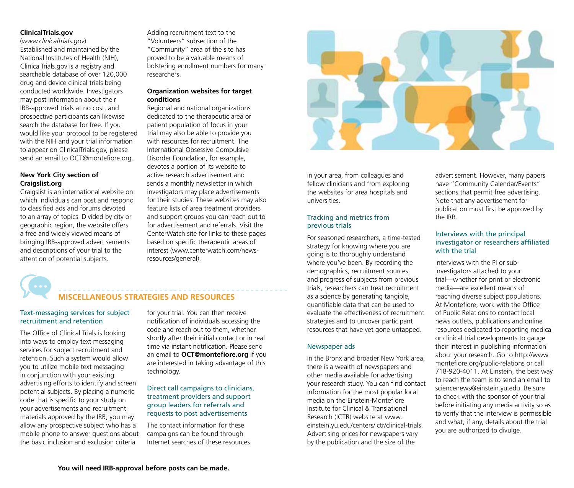#### **ClinicalTrials.gov**

(*www.clinicaltrials.gov*) Established and maintained by the National Institutes of Health (NIH), ClinicalTrials.gov is a registry and searchable database of over 120,000 drug and device clinical trials being conducted worldwide. Investigators may post information about their IRB-approved trials at no cost, and prospective participants can likewise search the database for free. If you would like your protocol to be registered with the NIH and your trial information to appear on ClinicalTrials.gov, please send an email to OCT@montefiore.org.

#### **New York City section of Craigslist.org**

Craigslist is an international website on which individuals can post and respond to classified ads and forums devoted to an array of topics. Divided by city or geographic region, the website offers a free and widely viewed means of bringing IRB-approved advertisements and descriptions of your trial to the attention of potential subjects.

Adding recruitment text to the "Volunteers" subsection of the "Community" area of the site has proved to be a valuable means of bolstering enrollment numbers for many researchers.

#### **Organization websites for target conditions**

Regional and national organizations dedicated to the therapeutic area or patient population of focus in your trial may also be able to provide you with resources for recruitment. The International Obsessive Compulsive Disorder Foundation, for example, devotes a portion of its website to active research advertisement and sends a monthly newsletter in which investigators may place advertisements for their studies. These websites may also feature lists of area treatment providers and support groups you can reach out to for advertisement and referrals. Visit the CenterWatch site for links to these pages based on specific therapeutic areas of interest (www.centerwatch.com/newsresources/general).

## **MISCELLANEOUS STRATEGIES AND RESOURCES**

#### Text-messaging services for subject recruitment and retention

The Office of Clinical Trials is looking into ways to employ text messaging services for subject recruitment and retention. Such a system would allow you to utilize mobile text messaging in conjunction with your existing advertising efforts to identify and screen potential subjects. By placing a numeric code that is specific to your study on your advertisements and recruitment materials approved by the IRB, you may allow any prospective subject who has a mobile phone to answer questions about the basic inclusion and exclusion criteria

for your trial. You can then receive notification of individuals accessing the code and reach out to them, whether shortly after their initial contact or in real time via instant notification. Please send an email to **OCT@montefiore.org** if you are interested in taking advantage of this technology.

#### Direct call campaigns to clinicians, treatment providers and support group leaders for referrals and requests to post advertisements

The contact information for these campaigns can be found through Internet searches of these resources



in your area, from colleagues and fellow clinicians and from exploring the websites for area hospitals and universities.

#### Tracking and metrics from previous trials

For seasoned researchers, a time-tested strategy for knowing where you are going is to thoroughly understand where you've been. By recording the demographics, recruitment sources and progress of subjects from previous trials, researchers can treat recruitment as a science by generating tangible, quantifiable data that can be used to evaluate the effectiveness of recruitment strategies and to uncover participant resources that have yet gone untapped.

#### Newspaper ads

In the Bronx and broader New York area, there is a wealth of newspapers and other media available for advertising your research study. You can find contact information for the most popular local media on the Einstein-Montefiore Institute for Clinical & Translational Research (ICTR) website at www. einstein.yu.edu/centers/ictr/clinical-trials. Advertising prices for newspapers vary by the publication and the size of the

advertisement. However, many papers have "Community Calendar/Events" sections that permit free advertising. Note that any advertisement for publication must first be approved by the IRB.

#### Interviews with the principal investigator or researchers affiliated with the trial

Interviews with the PI or subinvestigators attached to your trial—whether for print or electronic media—are excellent means of reaching diverse subject populations. At Montefiore, work with the Office of Public Relations to contact local news outlets, publications and online resources dedicated to reporting medical or clinical trial developments to gauge their interest in publishing information about your research. Go to http://www. montefiore.org/public-relations or call 718-920-4011. At Einstein, the best way to reach the team is to send an email to sciencenews@einstein.yu.edu. Be sure to check with the sponsor of your trial before initiating any media activity so as to verify that the interview is permissible and what, if any, details about the trial you are authorized to divulge.